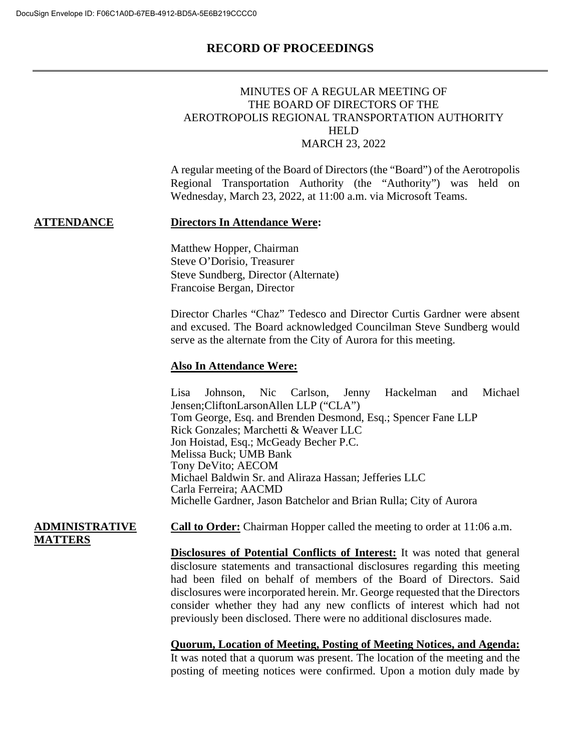## MINUTES OF A REGULAR MEETING OF THE BOARD OF DIRECTORS OF THE AEROTROPOLIS REGIONAL TRANSPORTATION AUTHORITY HELD MARCH 23, 2022

A regular meeting of the Board of Directors (the "Board") of the Aerotropolis Regional Transportation Authority (the "Authority") was held on Wednesday, March 23, 2022, at 11:00 a.m. via Microsoft Teams.

## **ATTENDANCE Directors In Attendance Were:**

Matthew Hopper, Chairman Steve O'Dorisio, Treasurer Steve Sundberg, Director (Alternate) Francoise Bergan, Director

Director Charles "Chaz" Tedesco and Director Curtis Gardner were absent and excused. The Board acknowledged Councilman Steve Sundberg would serve as the alternate from the City of Aurora for this meeting.

#### **Also In Attendance Were:**

Lisa Johnson, Nic Carlson, Jenny Hackelman and Michael Jensen;CliftonLarsonAllen LLP ("CLA") Tom George, Esq. and Brenden Desmond, Esq.; Spencer Fane LLP Rick Gonzales; Marchetti & Weaver LLC Jon Hoistad, Esq.; McGeady Becher P.C. Melissa Buck; UMB Bank Tony DeVito; AECOM Michael Baldwin Sr. and Aliraza Hassan; Jefferies LLC Carla Ferreira; AACMD Michelle Gardner, Jason Batchelor and Brian Rulla; City of Aurora

#### **ADMINISTRATIVE Call to Order:** Chairman Hopper called the meeting to order at 11:06 a.m.

## **MATTERS**

**Disclosures of Potential Conflicts of Interest:** It was noted that general disclosure statements and transactional disclosures regarding this meeting had been filed on behalf of members of the Board of Directors. Said disclosures were incorporated herein. Mr. George requested that the Directors consider whether they had any new conflicts of interest which had not previously been disclosed. There were no additional disclosures made.

## **Quorum, Location of Meeting, Posting of Meeting Notices, and Agenda:**

It was noted that a quorum was present. The location of the meeting and the posting of meeting notices were confirmed. Upon a motion duly made by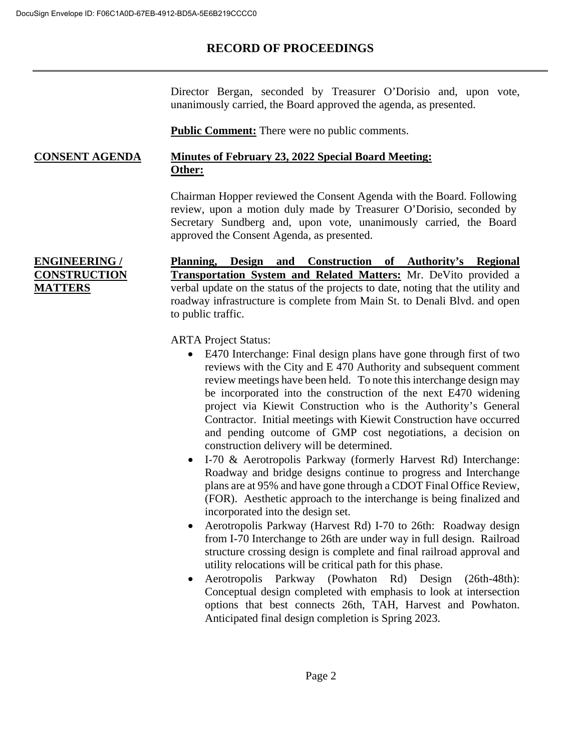Director Bergan, seconded by Treasurer O'Dorisio and, upon vote, unanimously carried, the Board approved the agenda, as presented.

**Public Comment:** There were no public comments.

## **CONSENT AGENDA Minutes of February 23, 2022 Special Board Meeting: Other:**

Chairman Hopper reviewed the Consent Agenda with the Board. Following review, upon a motion duly made by Treasurer O'Dorisio, seconded by Secretary Sundberg and, upon vote, unanimously carried, the Board approved the Consent Agenda, as presented.

**ENGINEERING / CONSTRUCTION MATTERS** 

**Planning, Design and Construction of Authority's Regional Transportation System and Related Matters:** Mr. DeVito provided a verbal update on the status of the projects to date, noting that the utility and roadway infrastructure is complete from Main St. to Denali Blvd. and open to public traffic.

ARTA Project Status:

- E470 Interchange: Final design plans have gone through first of two reviews with the City and E 470 Authority and subsequent comment review meetings have been held. To note this interchange design may be incorporated into the construction of the next E470 widening project via Kiewit Construction who is the Authority's General Contractor. Initial meetings with Kiewit Construction have occurred and pending outcome of GMP cost negotiations, a decision on construction delivery will be determined.
- I-70 & Aerotropolis Parkway (formerly Harvest Rd) Interchange: Roadway and bridge designs continue to progress and Interchange plans are at 95% and have gone through a CDOT Final Office Review, (FOR). Aesthetic approach to the interchange is being finalized and incorporated into the design set.
- Aerotropolis Parkway (Harvest Rd) I-70 to 26th: Roadway design from I-70 Interchange to 26th are under way in full design. Railroad structure crossing design is complete and final railroad approval and utility relocations will be critical path for this phase.
- Aerotropolis Parkway (Powhaton Rd) Design (26th-48th): Conceptual design completed with emphasis to look at intersection options that best connects 26th, TAH, Harvest and Powhaton. Anticipated final design completion is Spring 2023.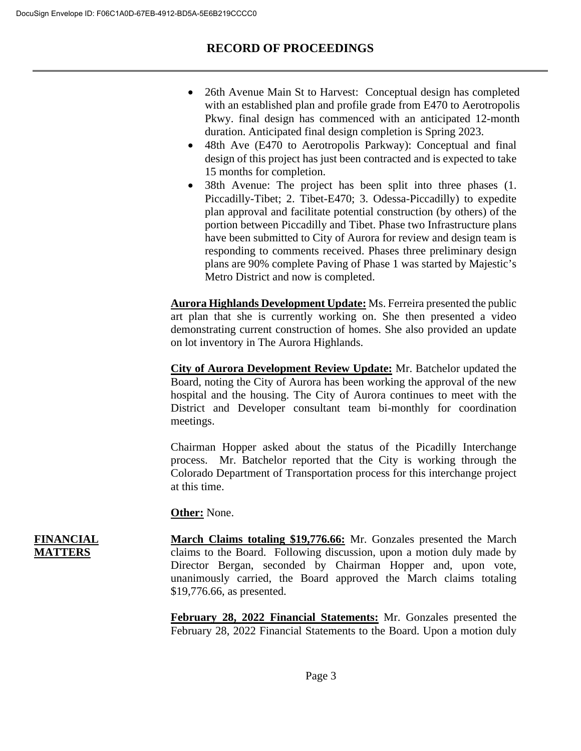- 26th Avenue Main St to Harvest: Conceptual design has completed with an established plan and profile grade from E470 to Aerotropolis Pkwy. final design has commenced with an anticipated 12-month duration. Anticipated final design completion is Spring 2023.
- 48th Ave (E470 to Aerotropolis Parkway): Conceptual and final design of this project has just been contracted and is expected to take 15 months for completion.
- 38th Avenue: The project has been split into three phases (1. Piccadilly-Tibet; 2. Tibet-E470; 3. Odessa-Piccadilly) to expedite plan approval and facilitate potential construction (by others) of the portion between Piccadilly and Tibet. Phase two Infrastructure plans have been submitted to City of Aurora for review and design team is responding to comments received. Phases three preliminary design plans are 90% complete Paving of Phase 1 was started by Majestic's Metro District and now is completed.

**Aurora Highlands Development Update:** Ms. Ferreira presented the public art plan that she is currently working on. She then presented a video demonstrating current construction of homes. She also provided an update on lot inventory in The Aurora Highlands.

**City of Aurora Development Review Update:** Mr. Batchelor updated the Board, noting the City of Aurora has been working the approval of the new hospital and the housing. The City of Aurora continues to meet with the District and Developer consultant team bi-monthly for coordination meetings.

Chairman Hopper asked about the status of the Picadilly Interchange process. Mr. Batchelor reported that the City is working through the Colorado Department of Transportation process for this interchange project at this time.

## **Other:** None.

**March Claims totaling \$19,776.66:** Mr. Gonzales presented the March claims to the Board. Following discussion, upon a motion duly made by Director Bergan, seconded by Chairman Hopper and, upon vote, unanimously carried, the Board approved the March claims totaling \$19,776.66, as presented.

> **February 28, 2022 Financial Statements:** Mr. Gonzales presented the February 28, 2022 Financial Statements to the Board. Upon a motion duly

## **FINANCIAL MATTERS**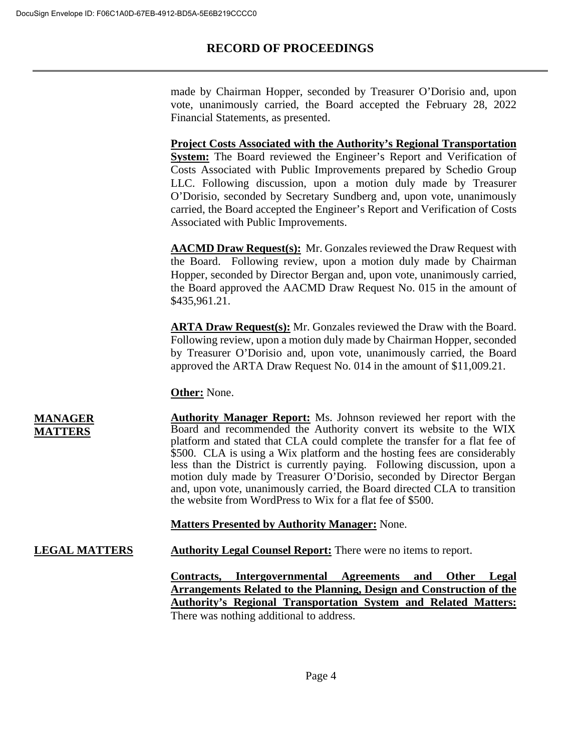made by Chairman Hopper, seconded by Treasurer O'Dorisio and, upon vote, unanimously carried, the Board accepted the February 28, 2022 Financial Statements, as presented.

**Project Costs Associated with the Authority's Regional Transportation System:** The Board reviewed the Engineer's Report and Verification of Costs Associated with Public Improvements prepared by Schedio Group LLC. Following discussion, upon a motion duly made by Treasurer O'Dorisio, seconded by Secretary Sundberg and, upon vote, unanimously carried, the Board accepted the Engineer's Report and Verification of Costs Associated with Public Improvements.

**AACMD Draw Request(s):** Mr. Gonzales reviewed the Draw Request with the Board. Following review, upon a motion duly made by Chairman Hopper, seconded by Director Bergan and, upon vote, unanimously carried, the Board approved the AACMD Draw Request No. 015 in the amount of \$435,961.21.

**ARTA Draw Request(s):** Mr. Gonzales reviewed the Draw with the Board. Following review, upon a motion duly made by Chairman Hopper, seconded by Treasurer O'Dorisio and, upon vote, unanimously carried, the Board approved the ARTA Draw Request No. 014 in the amount of \$11,009.21.

**Other:** None.

**MANAGER MATTERS Authority Manager Report:** Ms. Johnson reviewed her report with the Board and recommended the Authority convert its website to the WIX platform and stated that CLA could complete the transfer for a flat fee of \$500. CLA is using a Wix platform and the hosting fees are considerably less than the District is currently paying. Following discussion, upon a motion duly made by Treasurer O'Dorisio, seconded by Director Bergan and, upon vote, unanimously carried, the Board directed CLA to transition the website from WordPress to Wix for a flat fee of \$500.

## **Matters Presented by Authority Manager:** None.

## **LEGAL MATTERS** Authority Legal Counsel Report: There were no items to report.

**Contracts, Intergovernmental Agreements and Other Legal Arrangements Related to the Planning, Design and Construction of the Authority's Regional Transportation System and Related Matters:** There was nothing additional to address.